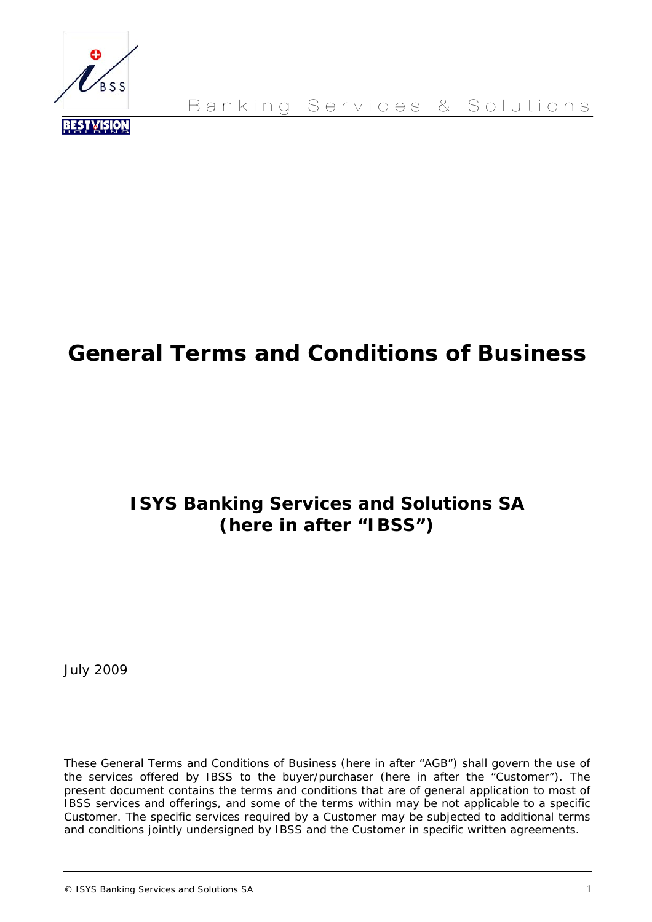

Banking Services & Solutions

# **General Terms and Conditions of Business**

# **ISYS Banking Services and Solutions SA (here in after "IBSS")**

July 2009

*These General Terms and Conditions of Business (here in after "AGB") shall govern the use of the services offered by IBSS to the buyer/purchaser (here in after the "Customer"). The present document contains the terms and conditions that are of general application to most of IBSS services and offerings, and some of the terms within may be not applicable to a specific Customer. The specific services required by a Customer may be subjected to additional terms and conditions jointly undersigned by IBSS and the Customer in specific written agreements.* 

© ISYS Banking Services and Solutions SA 1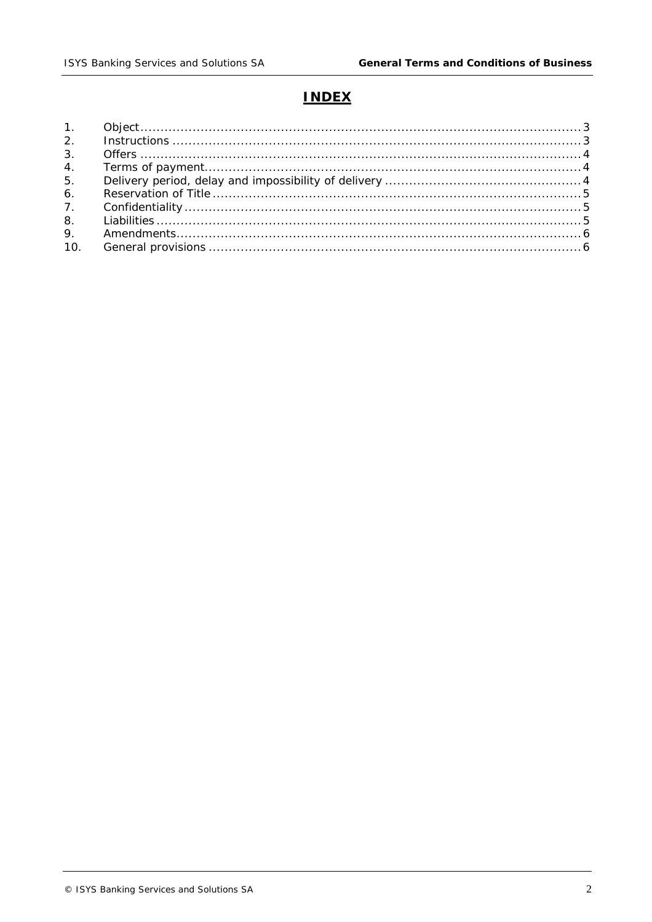# **INDEX**

| 3.  |  |
|-----|--|
|     |  |
| 5.  |  |
| 6.  |  |
| 7.  |  |
| 8.  |  |
| 9.  |  |
| 10. |  |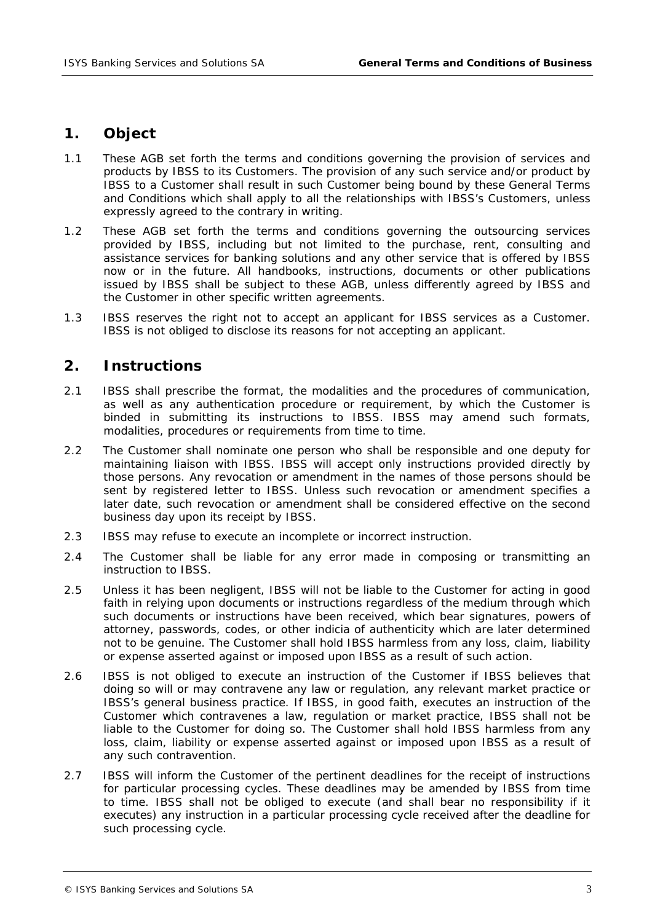# **1. Object**

- 1.1 These AGB set forth the terms and conditions governing the provision of services and products by IBSS to its Customers. The provision of any such service and/or product by IBSS to a Customer shall result in such Customer being bound by these General Terms and Conditions which shall apply to all the relationships with IBSS's Customers, unless expressly agreed to the contrary in writing.
- 1.2 These AGB set forth the terms and conditions governing the outsourcing services provided by IBSS, including but not limited to the purchase, rent, consulting and assistance services for banking solutions and any other service that is offered by IBSS now or in the future. All handbooks, instructions, documents or other publications issued by IBSS shall be subject to these AGB, unless differently agreed by IBSS and the Customer in other specific written agreements.
- 1.3 IBSS reserves the right not to accept an applicant for IBSS services as a Customer. IBSS is not obliged to disclose its reasons for not accepting an applicant.

### **2. Instructions**

- 2.1 IBSS shall prescribe the format, the modalities and the procedures of communication, as well as any authentication procedure or requirement, by which the Customer is binded in submitting its instructions to IBSS. IBSS may amend such formats, modalities, procedures or requirements from time to time.
- 2.2 The Customer shall nominate one person who shall be responsible and one deputy for maintaining liaison with IBSS. IBSS will accept only instructions provided directly by those persons. Any revocation or amendment in the names of those persons should be sent by registered letter to IBSS. Unless such revocation or amendment specifies a later date, such revocation or amendment shall be considered effective on the second business day upon its receipt by IBSS.
- 2.3 IBSS may refuse to execute an incomplete or incorrect instruction.
- 2.4 The Customer shall be liable for any error made in composing or transmitting an instruction to IBSS.
- 2.5 Unless it has been negligent, IBSS will not be liable to the Customer for acting in good faith in relying upon documents or instructions regardless of the medium through which such documents or instructions have been received, which bear signatures, powers of attorney, passwords, codes, or other indicia of authenticity which are later determined not to be genuine. The Customer shall hold IBSS harmless from any loss, claim, liability or expense asserted against or imposed upon IBSS as a result of such action.
- 2.6 IBSS is not obliged to execute an instruction of the Customer if IBSS believes that doing so will or may contravene any law or regulation, any relevant market practice or IBSS's general business practice. If IBSS, in good faith, executes an instruction of the Customer which contravenes a law, regulation or market practice, IBSS shall not be liable to the Customer for doing so. The Customer shall hold IBSS harmless from any loss, claim, liability or expense asserted against or imposed upon IBSS as a result of any such contravention.
- 2.7 IBSS will inform the Customer of the pertinent deadlines for the receipt of instructions for particular processing cycles. These deadlines may be amended by IBSS from time to time. IBSS shall not be obliged to execute (and shall bear no responsibility if it executes) any instruction in a particular processing cycle received after the deadline for such processing cycle.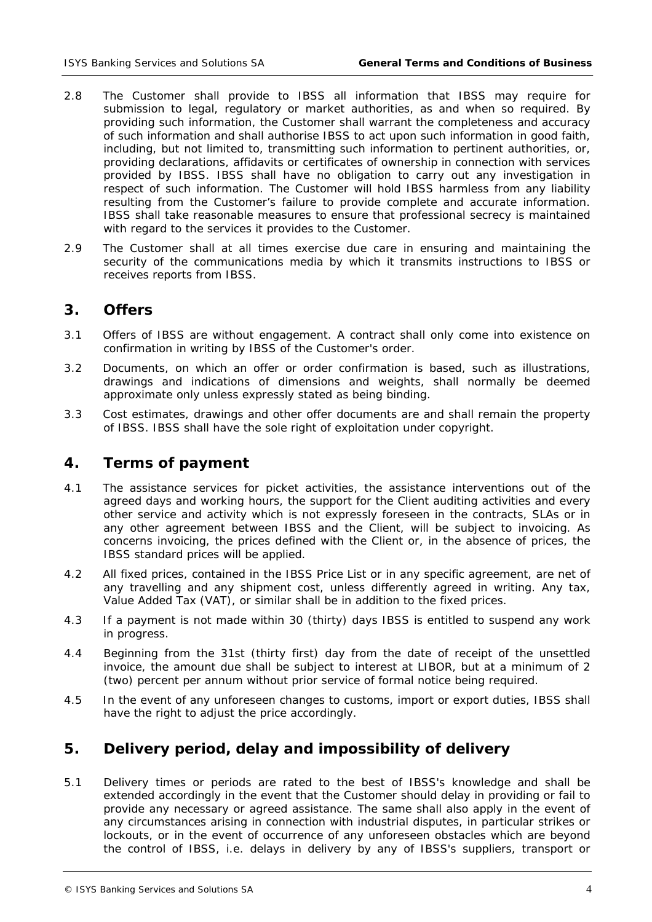- 2.8 The Customer shall provide to IBSS all information that IBSS may require for submission to legal, regulatory or market authorities, as and when so required. By providing such information, the Customer shall warrant the completeness and accuracy of such information and shall authorise IBSS to act upon such information in good faith, including, but not limited to, transmitting such information to pertinent authorities, or, providing declarations, affidavits or certificates of ownership in connection with services provided by IBSS. IBSS shall have no obligation to carry out any investigation in respect of such information. The Customer will hold IBSS harmless from any liability resulting from the Customer's failure to provide complete and accurate information. IBSS shall take reasonable measures to ensure that professional secrecy is maintained with regard to the services it provides to the Customer.
- 2.9 The Customer shall at all times exercise due care in ensuring and maintaining the security of the communications media by which it transmits instructions to IBSS or receives reports from IBSS.

### **3. Offers**

- 3.1 Offers of IBSS are without engagement. A contract shall only come into existence on confirmation in writing by IBSS of the Customer's order.
- 3.2 Documents, on which an offer or order confirmation is based, such as illustrations, drawings and indications of dimensions and weights, shall normally be deemed approximate only unless expressly stated as being binding.
- 3.3 Cost estimates, drawings and other offer documents are and shall remain the property of IBSS. IBSS shall have the sole right of exploitation under copyright.

## **4. Terms of payment**

- 4.1 The assistance services for picket activities, the assistance interventions out of the agreed days and working hours, the support for the Client auditing activities and every other service and activity which is not expressly foreseen in the contracts, SLAs or in any other agreement between IBSS and the Client, will be subject to invoicing. As concerns invoicing, the prices defined with the Client or, in the absence of prices, the IBSS standard prices will be applied.
- 4.2 All fixed prices, contained in the IBSS Price List or in any specific agreement, are net of any travelling and any shipment cost, unless differently agreed in writing. Any tax, Value Added Tax (VAT), or similar shall be in addition to the fixed prices.
- 4.3 If a payment is not made within 30 (thirty) days IBSS is entitled to suspend any work in progress.
- 4.4 Beginning from the 31st (thirty first) day from the date of receipt of the unsettled invoice, the amount due shall be subject to interest at LIBOR, but at a minimum of 2 (two) percent per annum without prior service of formal notice being required.
- 4.5 In the event of any unforeseen changes to customs, import or export duties, IBSS shall have the right to adjust the price accordingly.

# **5. Delivery period, delay and impossibility of delivery**

5.1 Delivery times or periods are rated to the best of IBSS's knowledge and shall be extended accordingly in the event that the Customer should delay in providing or fail to provide any necessary or agreed assistance. The same shall also apply in the event of any circumstances arising in connection with industrial disputes, in particular strikes or lockouts, or in the event of occurrence of any unforeseen obstacles which are beyond the control of IBSS, i.e. delays in delivery by any of IBSS's suppliers, transport or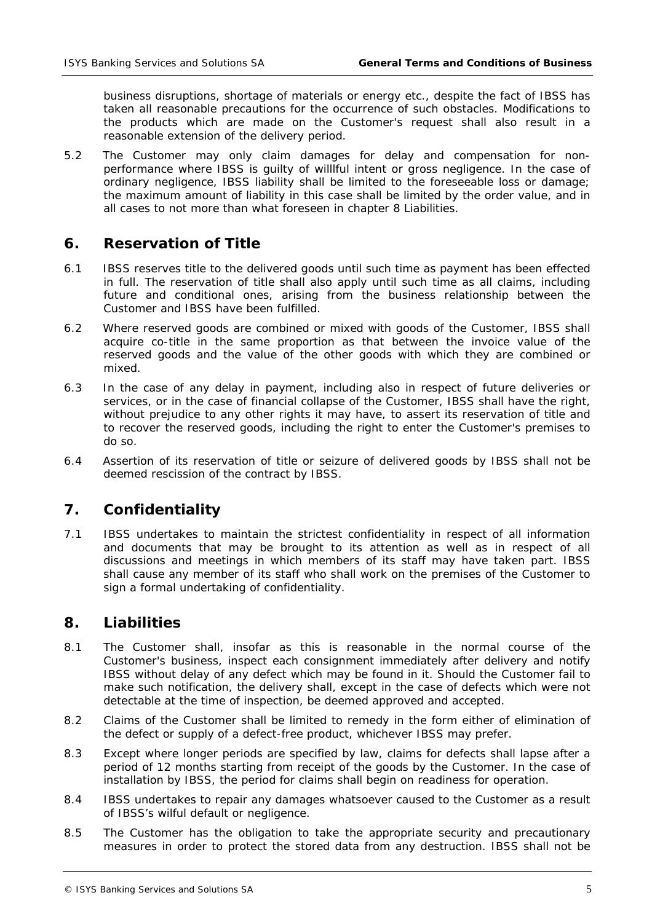business disruptions, shortage of materials or energy etc., despite the fact of IBSS has taken all reasonable precautions for the occurrence of such obstacles. Modifications to the products which are made on the Customer's request shall also result in a reasonable extension of the delivery period.

5.2 The Customer may only claim damages for delay and compensation for nonperformance where IBSS is guilty of willlful intent or gross negligence. In the case of ordinary negligence, IBSS liability shall be limited to the foreseeable loss or damage; the maximum amount of liability in this case shall be limited by the order value, and in all cases to not more than what foreseen in chapter 8 Liabilities.

### **6. Reservation of Title**

- 6.1 IBSS reserves title to the delivered goods until such time as payment has been effected in full. The reservation of title shall also apply until such time as all claims, including future and conditional ones, arising from the business relationship between the Customer and IBSS have been fulfilled.
- 6.2 Where reserved goods are combined or mixed with goods of the Customer, IBSS shall acquire co-title in the same proportion as that between the invoice value of the reserved goods and the value of the other goods with which they are combined or mixed.
- 6.3 In the case of any delay in payment, including also in respect of future deliveries or services, or in the case of financial collapse of the Customer, IBSS shall have the right, without prejudice to any other rights it may have, to assert its reservation of title and to recover the reserved goods, including the right to enter the Customer's premises to do so.
- 6.4 Assertion of its reservation of title or seizure of delivered goods by IBSS shall not be deemed rescission of the contract by IBSS.

# **7. Confidentiality**

7.1 IBSS undertakes to maintain the strictest confidentiality in respect of all information and documents that may be brought to its attention as well as in respect of all discussions and meetings in which members of its staff may have taken part. IBSS shall cause any member of its staff who shall work on the premises of the Customer to sign a formal undertaking of confidentiality.

#### **8. Liabilities**

- 8.1 The Customer shall, insofar as this is reasonable in the normal course of the Customer's business, inspect each consignment immediately after delivery and notify IBSS without delay of any defect which may be found in it. Should the Customer fail to make such notification, the delivery shall, except in the case of defects which were not detectable at the time of inspection, be deemed approved and accepted.
- 8.2 Claims of the Customer shall be limited to remedy in the form either of elimination of the defect or supply of a defect-free product, whichever IBSS may prefer.
- 8.3 Except where longer periods are specified by law, claims for defects shall lapse after a period of 12 months starting from receipt of the goods by the Customer. In the case of installation by IBSS, the period for claims shall begin on readiness for operation.
- 8.4 IBSS undertakes to repair any damages whatsoever caused to the Customer as a result of IBSS's wilful default or negligence.
- 8.5 The Customer has the obligation to take the appropriate security and precautionary measures in order to protect the stored data from any destruction. IBSS shall not be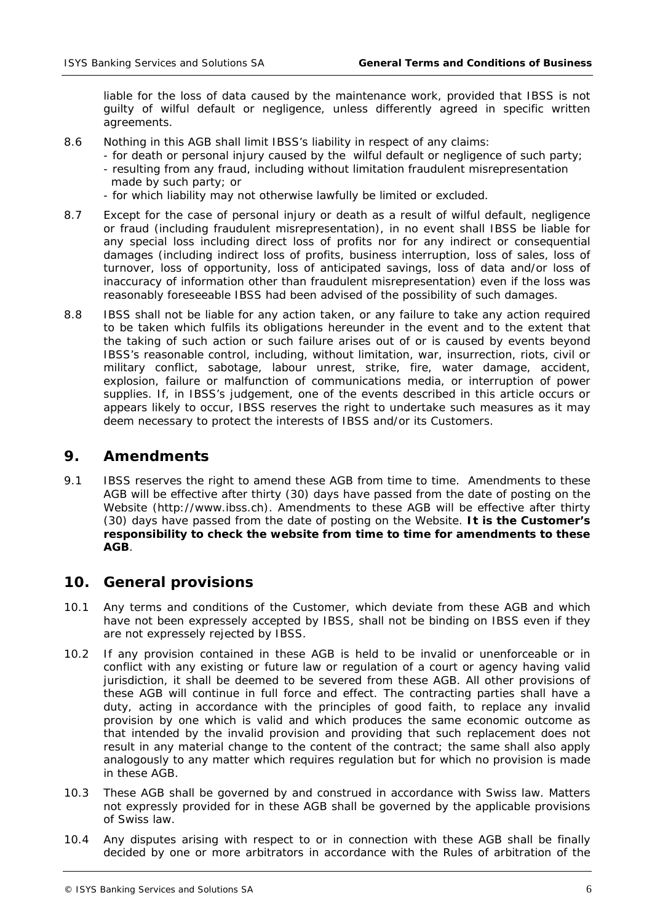liable for the loss of data caused by the maintenance work, provided that IBSS is not guilty of wilful default or negligence, unless differently agreed in specific written agreements.

- 8.6 Nothing in this AGB shall limit IBSS's liability in respect of any claims:
	- for death or personal injury caused by the wilful default or negligence of such party;
	- resulting from any fraud, including without limitation fraudulent misrepresentation made by such party; or
	- for which liability may not otherwise lawfully be limited or excluded.
- 8.7 Except for the case of personal injury or death as a result of wilful default, negligence or fraud (including fraudulent misrepresentation), in no event shall IBSS be liable for any special loss including direct loss of profits nor for any indirect or consequential damages (including indirect loss of profits, business interruption, loss of sales, loss of turnover, loss of opportunity, loss of anticipated savings, loss of data and/or loss of inaccuracy of information other than fraudulent misrepresentation) even if the loss was reasonably foreseeable IBSS had been advised of the possibility of such damages.
- 8.8 IBSS shall not be liable for any action taken, or any failure to take any action required to be taken which fulfils its obligations hereunder in the event and to the extent that the taking of such action or such failure arises out of or is caused by events beyond IBSS's reasonable control, including, without limitation, war, insurrection, riots, civil or military conflict, sabotage, labour unrest, strike, fire, water damage, accident, explosion, failure or malfunction of communications media, or interruption of power supplies. If, in IBSS's judgement, one of the events described in this article occurs or appears likely to occur, IBSS reserves the right to undertake such measures as it may deem necessary to protect the interests of IBSS and/or its Customers.

# **9. Amendments**

9.1 IBSS reserves the right to amend these AGB from time to time. Amendments to these AGB will be effective after thirty (30) days have passed from the date of posting on the Website (http://www.ibss.ch). Amendments to these AGB will be effective after thirty (30) days have passed from the date of posting on the Website. **It is the Customer's responsibility to check the website from time to time for amendments to these AGB**.

# **10. General provisions**

- 10.1 Any terms and conditions of the Customer, which deviate from these AGB and which have not been expressely accepted by IBSS, shall not be binding on IBSS even if they are not expressely rejected by IBSS.
- 10.2 If any provision contained in these AGB is held to be invalid or unenforceable or in conflict with any existing or future law or regulation of a court or agency having valid jurisdiction, it shall be deemed to be severed from these AGB. All other provisions of these AGB will continue in full force and effect. The contracting parties shall have a duty, acting in accordance with the principles of good faith, to replace any invalid provision by one which is valid and which produces the same economic outcome as that intended by the invalid provision and providing that such replacement does not result in any material change to the content of the contract; the same shall also apply analogously to any matter which requires regulation but for which no provision is made in these AGB.
- 10.3 These AGB shall be governed by and construed in accordance with Swiss law. Matters not expressly provided for in these AGB shall be governed by the applicable provisions of Swiss law.
- 10.4 Any disputes arising with respect to or in connection with these AGB shall be finally decided by one or more arbitrators in accordance with the Rules of arbitration of the